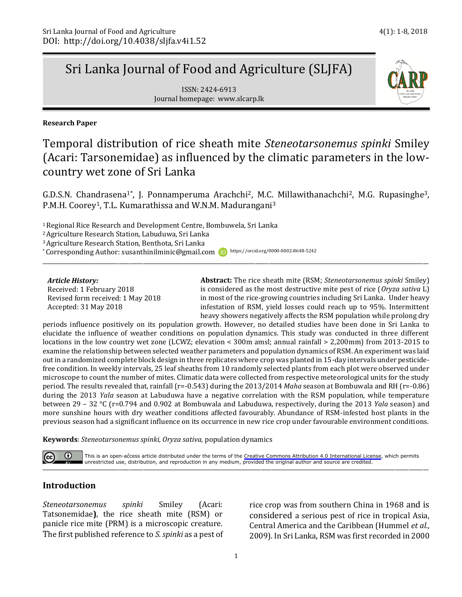# Sri Lanka Journal of Food and Agriculture (SLJFA)

ISSN: 2424-6913 Journal homepage: www.slcarp.lk

i **Research Paper** 

## Temporal distribution of rice sheath mite *Steneotarsonemus spinki* Smiley (Acari: Tarsonemidae) as influenced by the climatic parameters in the lowcountry wet zone of Sri Lanka

G.D.S.N. Chandrasena<sup>1\*</sup>, J. Ponnamperuma Arachchi<sup>2</sup>, M.C. Millawithanachchi<sup>2</sup>, M.G. Rupasinghe<sup>3</sup>, P.M.H. Coorey<sup>1</sup>, T.L. Kumarathissa and W.N.M. Madurangani<sup>3</sup>

\_\_\_\_\_\_\_\_\_\_\_\_\_\_\_\_\_\_\_\_\_\_\_\_\_\_\_\_\_\_\_\_\_\_\_\_\_\_\_\_\_\_\_\_\_\_\_\_\_\_\_\_\_\_\_\_\_\_\_\_\_\_\_\_\_\_\_\_\_\_\_\_\_\_\_\_\_\_\_\_\_\_\_\_\_\_\_\_\_\_\_\_\_\_\_\_\_\_\_\_\_\_\_\_\_\_\_\_\_\_\_\_\_\_\_\_\_\_\_\_\_\_\_\_\_\_\_\_\_\_\_\_\_\_\_\_\_\_

<sup>1</sup> Regional Rice Research and Development Centre, Bombuwela, Sri Lanka

<sup>2</sup>Agriculture Research Station, Labuduwa, Sri Lanka

<sup>3</sup>Agriculture Research Station, Benthota, Sri Lanka

\* Corresponding Author: susanthinilminic@gmail.com iD https://orcid.org/0000-0002-8648-5242

#### *Article History:*

Received: 1 February 2018 Revised form received: 1 May 2018 Accepted: 31 May 2018

**Abstract:** The rice sheath mite (RSM; *Steneotarsonemus spinki* Smiley) is considered as the most destructive mite pest of rice (*Oryza sativa* L) in most of the rice-growing countries including Sri Lanka. Under heavy infestation of RSM, yield losses could reach up to 95%. Intermittent heavy showers negatively affects the RSM population while prolong dry

periods influence positively on its population growth. However, no detailed studies have been done in Sri Lanka to elucidate the influence of weather conditions on population dynamics. This study was conducted in three different locations in the low country wet zone (LCWZ; elevation < 300m amsl; annual rainfall > 2,200mm) from 2013-2015 to examine the relationship between selected weather parameters and population dynamics of RSM. An experiment was laid out in a randomized complete block design in three replicates where crop was planted in 15-day intervals under pesticidefree condition. In weekly intervals, 25 leaf sheaths from 10 randomly selected plants from each plot were observed under microscope to count the number of mites. Climatic data were collected from respective meteorological units for the study period. The results revealed that, rainfall (r=-0.543) during the 2013/2014 *Maha* season at Bombuwala and RH (r=-0.86) during the 2013 *Yala* season at Labuduwa have a negative correlation with the RSM population, while temperature between 29 – 32 °C (r=0.794 and 0.902 at Bombuwala and Labuduwa, respectively, during the 2013 *Yala* season) and more sunshine hours with dry weather conditions affected favourably. Abundance of RSM-infested host plants in the previous season had a significant influence on its occurrence in new rice crop under favourable environment conditions.

**Keywords**: *Steneotarsonemus spinki, Oryza sativa,* population dynamics



and the contract of the contract of the contract of the contract of the contract of the contract of the contract of the contract of the contract of the contract of the contract of the contract of the contract of the contra This is an open-access article distributed under the terms of the [Creative Commons Attribution 4.0 International License](https://creativecommons.org/licenses/by/4.0/), which permits

## **Introduction**

*Steneotarsonemus spinki* Smiley (Acari: Tatsonemidae**)**, the rice sheath mite (RSM) or panicle rice mite (PRM) is a microscopic creature. The first published reference to *S. spinki* as a pest of rice crop was from southern China in 1968 and is considered a serious pest of rice in tropical Asia, Central America and the Caribbean (Hummel *et al.*, 2009). In Sri Lanka, RSM was first recorded in 2000

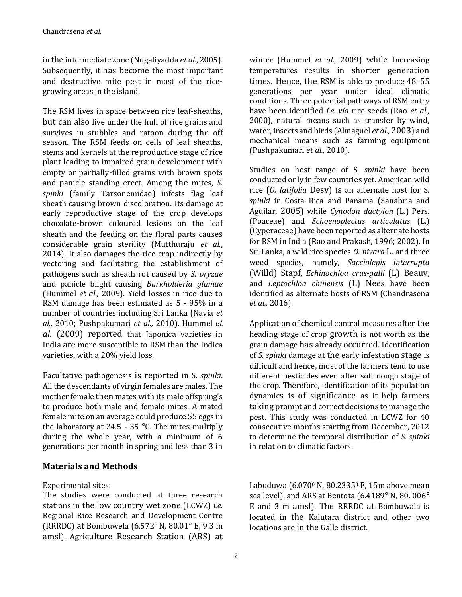in the intermediate zone (Nugaliyadda *et al.*, 2005). Subsequently, it has become the most important and destructive mite pest in most of the ricegrowing areas in the island.

The RSM lives in space between rice leaf-sheaths, but can also live under the hull of rice grains and survives in stubbles and ratoon during the off season. The RSM feeds on cells of leaf sheaths, stems and kernels at the reproductive stage of rice plant leading to impaired grain development with empty or partially-filled grains with brown spots and panicle standing erect. Among the mites, *S. spinki* (family Tarsonemidae) infests flag leaf sheath causing brown discoloration. Its damage at early reproductive stage of the crop develops chocolate-brown coloured lesions on the leaf sheath and the feeding on the floral parts causes considerable grain sterility (Mutthuraju *et al.*, 2014). It also damages the rice crop indirectly by vectoring and facilitating the establishment of pathogens such as sheath rot caused by *S. oryzae* and panicle blight causing *Burkholderia glumae* (Hummel *et al.,* 2009). Yield losses in rice due to RSM damage has been estimated as 5 - 95% in a number of countries including Sri Lanka (Navia *et al.,* 2010; Pushpakumari *et al.,* 2010). Hummel *et al*. (2009) reported that Japonica varieties in India are more susceptible to RSM than the Indica varieties, with a 20% yield loss.

Facultative pathogenesis is reported in S. *spinki*. All the descendants of virgin females are males. The mother female then mates with its male offspring's to produce both male and female mites. A mated female mite on an average could produce 55 eggs in the laboratory at 24.5 - 35  $^{\circ}$ C. The mites multiply during the whole year, with a minimum of 6 generations per month in spring and less than 3 in

## **Materials and Methods**

## Experimental sites:

The studies were conducted at three research stations in the low country wet zone (LCWZ) *i.e.* Regional Rice Research and Development Centre (RRRDC) at Bombuwela (6.572°N, 80.01° E, 9.3 m amsl), Agriculture Research Station (ARS) at winter (Hummel *et al.*, 2009) while Increasing temperatures results in shorter generation times. Hence, the RSM is able to produce 48–55 generations per year under ideal climatic conditions. Three potential pathways of RSM entry have been identified *i.e. via* rice seeds (Rao *et al.,* 2000), natural means such as transfer by wind, water, insects and birds (Almaguel *et al.,* 2003) and mechanical means such as farming equipment (Pushpakumari *et al.,* 2010).

Studies on host range of S*. spinki* have been conducted only in few countries yet. American wild rice (*O. latifolia* Desv) is an alternate host for S. *spinki* in Costa Rica and Panama (Sanabria and Aguilar, 2005) while *Cynodon dactylon* (L.) Pers. (Poaceae) and *Schoenoplectus articulatus* (L.) (Cyperaceae) have been reported as alternate hosts for RSM in India (Rao and Prakash, 1996; 2002). In Sri Lanka, a wild rice species *O. nivara* L. and three weed species, namely, *Sacciolepis interrupta* (Willd) Stapf, *Echinochloa crus-galli* (L) Beauv, and *Leptochloa chinensis* (L) Nees have been identified as alternate hosts of RSM (Chandrasena *et al.,* 2016).

Application of chemical control measures after the heading stage of crop growth is not worth as the grain damage has already occurred. Identification of *S. spinki* damage at the early infestation stage is difficult and hence, most of the farmers tend to use different pesticides even after soft dough stage of the crop. Therefore, identification of its population dynamics is of significance as it help farmers taking prompt and correct decisions to manage the pest. This study was conducted in LCWZ for 40 consecutive months starting from December, 2012 to determine the temporal distribution of *S. spinki* in relation to climatic factors.

Labuduwa (6.070<sup>0</sup> N, 80.2335<sup>0</sup> E, 15m above mean sea level), and ARS at Bentota (6.4189° N, 80. 006° E and 3 m amsl). The RRRDC at Bombuwala is located in the Kalutara district and other two locations are in the Galle district.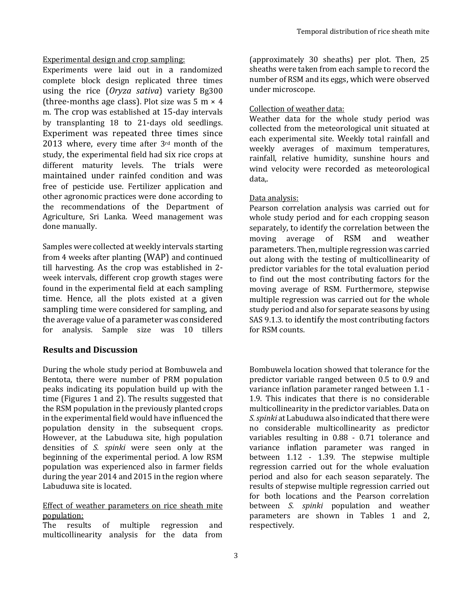Experimental design and crop sampling:

Experiments were laid out in a randomized complete block design replicated three times using the rice (*Oryza sativa*) variety Bg300 (three-months age class). Plot size was  $5 \text{ m} \times 4$ m. The crop was established at 15-day intervals by transplanting 18 to 21-days old seedlings. Experiment was repeated three times since 2013 where, every time after 3rd month of the study, the experimental field had six rice crops at different maturity levels. The trials were maintained under rainfed condition and was free of pesticide use. Fertilizer application and other agronomic practices were done according to the recommendations of the Department of Agriculture, Sri Lanka. Weed management was done manually.

Samples were collected at weekly intervals starting from 4 weeks after planting (WAP) and continued till harvesting. As the crop was established in 2 week intervals, different crop growth stages were found in the experimental field at each sampling time. Hence, all the plots existed at a given sampling time were considered for sampling, and the average value of a parameter was considered for analysis. Sample size was 10 tillers

## **Results and Discussion**

During the whole study period at Bombuwela and Bentota, there were number of PRM population peaks indicating its population build up with the time (Figures 1 and 2). The results suggested that the RSM population in the previously planted crops in the experimental field would have influenced the population density in the subsequent crops. However, at the Labuduwa site, high population densities of *S. spinki* were seen only at the beginning of the experimental period. A low RSM population was experienced also in farmer fields during the year 2014 and 2015 in the region where Labuduwa site is located.

### Effect of weather parameters on rice sheath mite population:

The results of multiple regression and multicollinearity analysis for the data from (approximately 30 sheaths) per plot. Then, 25 sheaths were taken from each sample to record the number of RSM and its eggs, which were observed under microscope.

## Collection of weather data:

Weather data for the whole study period was collected from the meteorological unit situated at each experimental site. Weekly total rainfall and weekly averages of maximum temperatures, rainfall, relative humidity, sunshine hours and wind velocity were recorded as meteorological data,.

### Data analysis:

Pearson correlation analysis was carried out for whole study period and for each cropping season separately, to identify the correlation between the moving average of RSM and weather parameters. Then, multiple regression was carried out along with the testing of multicollinearity of predictor variables for the total evaluation period to find out the most contributing factors for the moving average of RSM. Furthermore, stepwise multiple regression was carried out for the whole study period and also for separate seasons by using SAS 9.1.3. to identify the most contributing factors for RSM counts.

Bombuwela location showed that tolerance for the predictor variable ranged between 0.5 to 0.9 and variance inflation parameter ranged between 1.1 - 1.9. This indicates that there is no considerable multicollinearity in the predictor variables. Data on *S. spinki* at Labuduwa also indicated that there were no considerable multicollinearity as predictor variables resulting in 0.88 - 0.71 tolerance and variance inflation parameter was ranged in between 1.12 - 1.39. The stepwise multiple regression carried out for the whole evaluation period and also for each season separately. The results of stepwise multiple regression carried out for both locations and the Pearson correlation between *S. spinki* population and weather parameters are shown in Tables 1 and 2, respectively.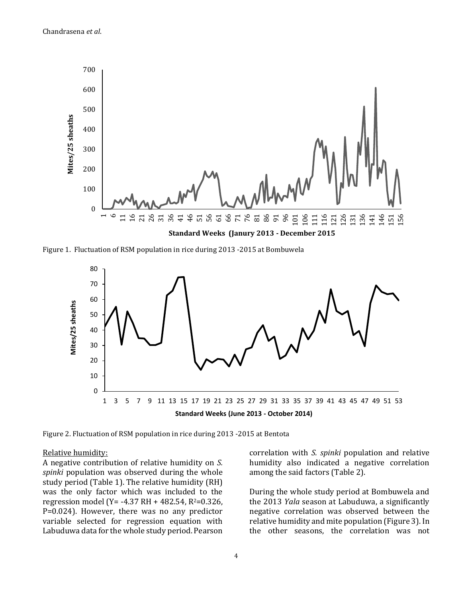

Figure 1. Fluctuation of RSM population in rice during 2013 -2015 at Bombuwela



Figure 2. Fluctuation of RSM population in rice during 2013 -2015 at Bentota

#### Relative humidity:

A negative contribution of relative humidity on *S. spinki* population was observed during the whole study period (Table 1). The relative humidity (RH) was the only factor which was included to the regression model (Y= -4.37 RH + 482.54, R<sup>2</sup>=0.326, P=0.024). However, there was no any predictor variable selected for regression equation with Labuduwa data for the whole study period. Pearson correlation with *S. spinki* population and relative humidity also indicated a negative correlation among the said factors (Table 2).

During the whole study period at Bombuwela and the 2013 *Yala* season at Labuduwa, a significantly negative correlation was observed between the relative humidity and mite population (Figure 3). In the other seasons, the correlation was not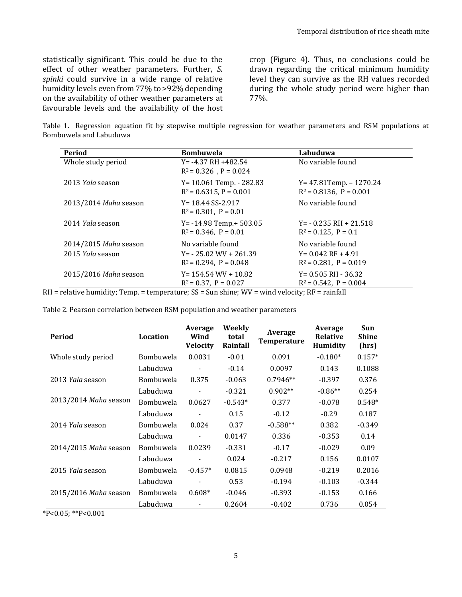statistically significant. This could be due to the effect of other weather parameters. Further, *S. spinki* could survive in a wide range of relative humidity levels even from 77% to >92% depending on the availability of other weather parameters at favourable levels and the availability of the host crop (Figure 4). Thus, no conclusions could be drawn regarding the critical minimum humidity level they can survive as the RH values recorded during the whole study period were higher than 77%.

Table 1. Regression equation fit by stepwise multiple regression for weather parameters and RSM populations at Bombuwela and Labuduwa

| Period                | <b>Bombuwela</b>                                          | Labuduwa                                                    |
|-----------------------|-----------------------------------------------------------|-------------------------------------------------------------|
| Whole study period    | $Y = -4.37$ RH $+482.54$<br>$R^2 = 0.326$ , $P = 0.024$   | No variable found                                           |
| 2013 Yala season      | Y= 10.061 Temp. - 282.83<br>$R^2$ = 0.6315, P = 0.001     | $Y = 47.81$ Temp. - 1270.24<br>$R^2 = 0.8136$ , $P = 0.001$ |
| 2013/2014 Maha season | $Y = 18.44$ SS-2.917<br>$R^2 = 0.301$ , $P = 0.01$        | No variable found                                           |
| 2014 Yala season      | $Y = -14.98$ Temp. + 503.05<br>$R^2 = 0.346$ , $P = 0.01$ | $Y = -0.235$ RH + 21.518<br>$R^2 = 0.125$ , $P = 0.1$       |
| 2014/2015 Maha season | No variable found                                         | No variable found                                           |
| 2015 Yala season      | $Y = -25.02$ WV + 261.39<br>$R^2 = 0.294$ , $P = 0.048$   | $Y = 0.042$ RF + 4.91<br>$R^2 = 0.281$ , $P = 0.019$        |
| 2015/2016 Maha season | $Y = 154.54$ WV + 10.82<br>$R^2 = 0.37$ , $P = 0.027$     | $Y = 0.505$ RH - 36.32<br>$R^2 = 0.542$ , $P = 0.004$       |

RH = relative humidity; Temp. = temperature; SS = Sun shine; WV = wind velocity; RF = rainfall

| Table 2. Pearson correlation between RSM population and weather parameters |  |  |
|----------------------------------------------------------------------------|--|--|
|                                                                            |  |  |

| Period                | Location         | Average<br>Wind<br><b>Velocity</b> | Weekly<br>total<br>Rainfall | Average<br><b>Temperature</b> | Average<br><b>Relative</b><br>Humidity | Sun<br><b>Shine</b><br>(hrs) |
|-----------------------|------------------|------------------------------------|-----------------------------|-------------------------------|----------------------------------------|------------------------------|
| Whole study period    | Bombuwela        | 0.0031                             | $-0.01$                     | 0.091                         | $-0.180*$                              | $0.157*$                     |
|                       | Labuduwa         |                                    | $-0.14$                     | 0.0097                        | 0.143                                  | 0.1088                       |
| 2013 Yala season      | <b>Bombuwela</b> | 0.375                              | $-0.063$                    | $0.7946**$                    | $-0.397$                               | 0.376                        |
|                       | Labuduwa         |                                    | $-0.321$                    | $0.902**$                     | $-0.86**$                              | 0.254                        |
| 2013/2014 Maha season | <b>Bombuwela</b> | 0.0627                             | $-0.543*$                   | 0.377                         | $-0.078$                               | $0.548*$                     |
|                       | Labuduwa         |                                    | 0.15                        | $-0.12$                       | $-0.29$                                | 0.187                        |
| 2014 Yala season      | <b>Bombuwela</b> | 0.024                              | 0.37                        | $-0.588**$                    | 0.382                                  | $-0.349$                     |
|                       | Labuduwa         |                                    | 0.0147                      | 0.336                         | $-0.353$                               | 0.14                         |
| 2014/2015 Maha season | Bombuwela        | 0.0239                             | $-0.331$                    | $-0.17$                       | $-0.029$                               | 0.09                         |
|                       | Labuduwa         |                                    | 0.024                       | $-0.217$                      | 0.156                                  | 0.0107                       |
| 2015 Yala season      | <b>Bombuwela</b> | $-0.457*$                          | 0.0815                      | 0.0948                        | $-0.219$                               | 0.2016                       |
|                       | Labuduwa         |                                    | 0.53                        | $-0.194$                      | $-0.103$                               | $-0.344$                     |
| 2015/2016 Maha season | Bombuwela        | $0.608*$                           | $-0.046$                    | $-0.393$                      | $-0.153$                               | 0.166                        |
|                       | Labuduwa         |                                    | 0.2604                      | $-0.402$                      | 0.736                                  | 0.054                        |

\*P<0.05; \*\*P<0.001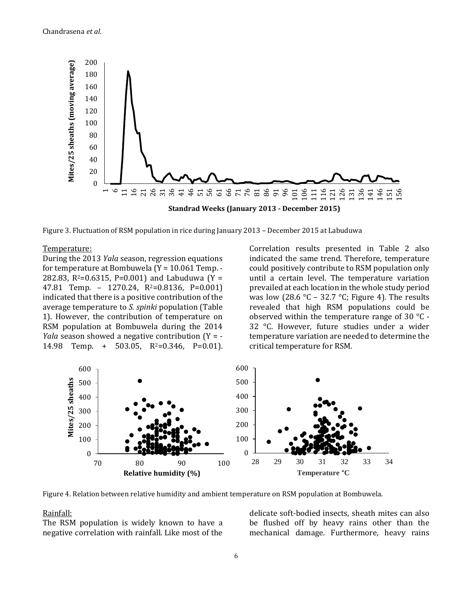

Figure 3. Fluctuation of RSM population in rice during January 2013 – December 2015 at Labuduwa

#### Temperature:

During the 2013 *Yala* season, regression equations for temperature at Bombuwela (Y = 10.061 Temp. - 282.83,  $R^2 = 0.6315$ , P=0.001) and Labuduwa (Y = 47.81 Temp. – 1270.24, R2=0.8136, P=0.001) indicated that there is a positive contribution of the average temperature to *S. spinki* population (Table 1). However, the contribution of temperature on RSM population at Bombuwela during the 2014 *Yala* season showed a negative contribution (Y = - 14.98 Temp. + 503.05,  $R^2=0.346$ ,  $P=0.01$ ). Correlation results presented in Table 2 also indicated the same trend. Therefore, temperature could positively contribute to RSM population only until a certain level. The temperature variation prevailed at each location in the whole study period was low (28.6 °C – 32.7 °C; Figure 4). The results revealed that high RSM populations could be observed within the temperature range of 30 °C - 32 °C. However, future studies under a wider temperature variation are needed to determine the critical temperature for RSM.



Figure 4. Relation between relative humidity and ambient temperature on RSM population at Bombuwela.

#### Rainfall:

The RSM population is widely known to have a negative correlation with rainfall. Like most of the delicate soft-bodied insects, sheath mites can also be flushed off by heavy rains other than the mechanical damage. Furthermore, heavy rains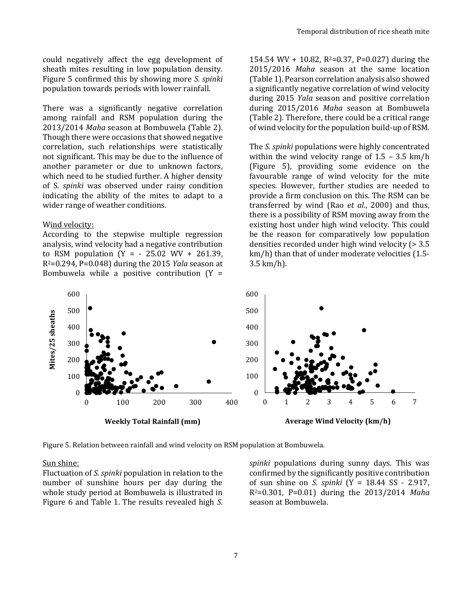could negatively affect the egg development of sheath mites resulting in low population density. Figure 5 confirmed this by showing more *S. spinki* population towards periods with lower rainfall.

There was a significantly negative correlation among rainfall and RSM population during the 2013/2014 *Maha* season at Bombuwela (Table 2). Though there were occasions that showed negative correlation, such relationships were statistically not significant. This may be due to the influence of another parameter or due to unknown factors, which need to be studied further. A higher density of S*. spinki* was observed under rainy condition indicating the ability of the mites to adapt to a wider range of weather conditions.

#### Wind velocity:

According to the stepwise multiple regression analysis, wind velocity had a negative contribution to RSM population  $(Y = -25.02 \, WV + 261.39)$ , R2=0.294, P=0.048) during the 2015 *Yala* season at Bombuwela while a positive contribution  $(Y =$  154.54 WV + 10.82,  $R^2$ =0.37, P=0.027) during the 2015/2016 *Maha* season at the same location (Table 1). Pearson correlation analysis also showed a significantly negative correlation of wind velocity during 2015 *Yala* season and positive correlation during 2015/2016 *Maha* season at Bombuwela (Table 2). Therefore, there could be a critical range of wind velocity for the population build-up of RSM.

The *S. spinki* populations were highly concentrated within the wind velocity range of  $1.5 - 3.5$  km/h (Figure 5), providing some evidence on the favourable range of wind velocity for the mite species. However, further studies are needed to provide a firm conclusion on this. The RSM can be transferred by wind (Rao *et al*., 2000) and thus, there is a possibility of RSM moving away from the existing host under high wind velocity. This could be the reason for comparatively low population densities recorded under high wind velocity (> 3.5 km/h) than that of under moderate velocities (1.5- 3.5 km/h).



Figure 5. Relation between rainfall and wind velocity on RSM population at Bombuwela.

#### Sun shine:

Fluctuation of *S. spinki* population in relation to the number of sunshine hours per day during the whole study period at Bombuwela is illustrated in Figure 6 and Table 1. The results revealed high *S.*  *spinki* populations during sunny days. This was confirmed by the significantly positive contribution of sun shine on *S. spinki* (Y = 18.44 SS - 2.917, R2=0.301, P=0.01) during the 2013/2014 *Maha* season at Bombuwela.